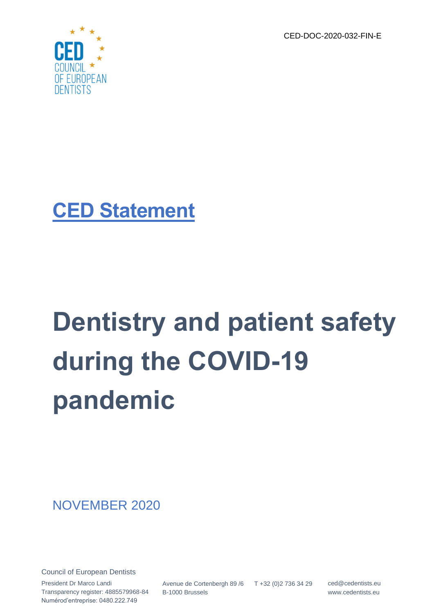CED-DOC-2020-032-FIN-E



## **CED Statement**

# **Dentistry and patient safety during the COVID-19 pandemic**

NOVEMBER 2020

Council of European Dentists

President Dr Marco Landi Transparency register: 4885579968-84 Numérod'entreprise: 0480.222.749

Avenue de Cortenbergh 89 /6 B-1000 Brussels T +32 (0)2 736 34 29 ced@cedentists.eu

www.cedentists.eu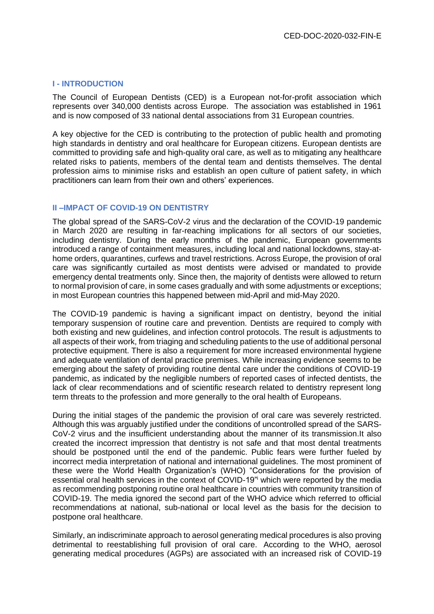#### **I - INTRODUCTION**

The Council of European Dentists (CED) is a European not-for-profit association which represents over 340,000 dentists across Europe. The association was established in 1961 and is now composed of 33 national dental associations from 31 European countries.

A key objective for the CED is contributing to the protection of public health and promoting high standards in dentistry and oral healthcare for European citizens. European dentists are committed to providing safe and high-quality oral care, as well as to mitigating any healthcare related risks to patients, members of the dental team and dentists themselves. The dental profession aims to minimise risks and establish an open culture of patient safety, in which practitioners can learn from their own and others' experiences.

#### **II –IMPACT OF COVID-19 ON DENTISTRY**

The global spread of the SARS-CoV-2 virus and the declaration of the COVID-19 pandemic in March 2020 are resulting in far-reaching implications for all sectors of our societies, including dentistry. During the early months of the pandemic, European governments introduced a range of containment measures, including local and national lockdowns, stay-athome orders, quarantines, curfews and travel restrictions. Across Europe, the provision of oral care was significantly curtailed as most dentists were advised or mandated to provide emergency dental treatments only. Since then, the majority of dentists were allowed to return to normal provision of care, in some cases gradually and with some adjustments or exceptions; in most European countries this happened between mid-April and mid-May 2020.

The COVID-19 pandemic is having a significant impact on dentistry, beyond the initial temporary suspension of routine care and prevention. Dentists are required to comply with both existing and new guidelines, and infection control protocols. The result is adjustments to all aspects of their work, from triaging and scheduling patients to the use of additional personal protective equipment. There is also a requirement for more increased environmental hygiene and adequate ventilation of dental practice premises. While increasing evidence seems to be emerging about the safety of providing routine dental care under the conditions of COVID-19 pandemic, as indicated by the negligible numbers of reported cases of infected dentists, the lack of clear recommendations and of scientific research related to dentistry represent long term threats to the profession and more generally to the oral health of Europeans.

During the initial stages of the pandemic the provision of oral care was severely restricted. Although this was arguably justified under the conditions of uncontrolled spread of the SARS-CoV-2 virus and the insufficient understanding about the manner of its transmission.It also created the incorrect impression that dentistry is not safe and that most dental treatments should be postponed until the end of the pandemic. Public fears were further fueled by incorrect media interpretation of national and international guidelines. The most prominent of these were the World Health Organization's (WHO) "Considerations for the provision of essential oral health services in the context of COVID-19"<sup>i</sup> which were reported by the media as recommending postponing routine oral healthcare in countries with community transition of COVID-19. The media ignored the second part of the WHO advice which referred to official recommendations at national, sub-national or local level as the basis for the decision to postpone oral healthcare.

Similarly, an indiscriminate approach to aerosol generating medical procedures is also proving detrimental to reestablishing full provision of oral care. According to the WHO, aerosol generating medical procedures (AGPs) are associated with an increased risk of COVID-19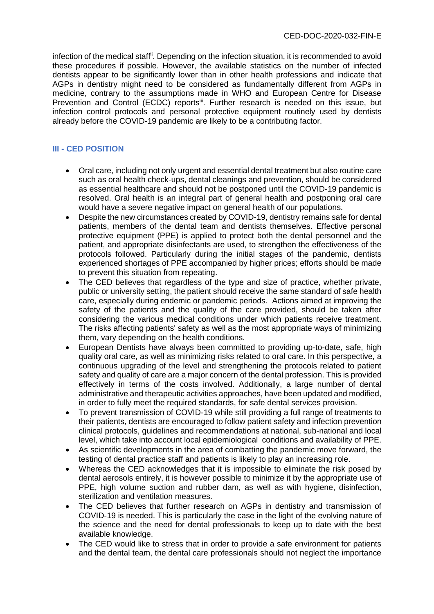infection of the medical staff<sup>ii</sup>. Depending on the infection situation, it is recommended to avoid these procedures if possible. However, the available statistics on the number of infected dentists appear to be significantly lower than in other health professions and indicate that AGPs in dentistry might need to be considered as fundamentally different from AGPs in medicine, contrary to the assumptions made in WHO and European Centre for Disease Prevention and Control (ECDC) reports<sup>iii</sup>. Further research is needed on this issue, but infection control protocols and personal protective equipment routinely used by dentists already before the COVID-19 pandemic are likely to be a contributing factor.

### **III - CED POSITION**

- Oral care, including not only urgent and essential dental treatment but also routine care such as oral health check-ups, dental cleanings and prevention, should be considered as essential healthcare and should not be postponed until the COVID-19 pandemic is resolved. Oral health is an integral part of general health and postponing oral care would have a severe negative impact on general health of our populations.
- Despite the new circumstances created by COVID-19, dentistry remains safe for dental patients, members of the dental team and dentists themselves. Effective personal protective equipment (PPE) is applied to protect both the dental personnel and the patient, and appropriate disinfectants are used, to strengthen the effectiveness of the protocols followed. Particularly during the initial stages of the pandemic, dentists experienced shortages of PPE accompanied by higher prices; efforts should be made to prevent this situation from repeating.
- The CED believes that regardless of the type and size of practice, whether private, public or university setting, the patient should receive the same standard of safe health care, especially during endemic or pandemic periods. Actions aimed at improving the safety of the patients and the quality of the care provided, should be taken after considering the various medical conditions under which patients receive treatment. The risks affecting patients' safety as well as the most appropriate ways of minimizing them, vary depending on the health conditions.
- European Dentists have always been committed to providing up-to-date, safe, high quality oral care, as well as minimizing risks related to oral care. In this perspective, a continuous upgrading of the level and strengthening the protocols related to patient safety and quality of care are a major concern of the dental profession. This is provided effectively in terms of the costs involved. Additionally, a large number of dental administrative and therapeutic activities approaches, have been updated and modified, in order to fully meet the required standards, for safe dental services provision.
- To prevent transmission of COVID-19 while still providing a full range of treatments to their patients, dentists are encouraged to follow patient safety and infection prevention clinical protocols, guidelines and recommendations at national, sub-national and local level, which take into account local epidemiological conditions and availability of PPE.
- As scientific developments in the area of combatting the pandemic move forward, the testing of dental practice staff and patients is likely to play an increasing role.
- Whereas the CED acknowledges that it is impossible to eliminate the risk posed by dental aerosols entirely, it is however possible to minimize it by the appropriate use of PPE, high volume suction and rubber dam, as well as with hygiene, disinfection, sterilization and ventilation measures.
- The CED believes that further research on AGPs in dentistry and transmission of COVID-19 is needed. This is particularly the case in the light of the evolving nature of the science and the need for dental professionals to keep up to date with the best available knowledge.
- The CED would like to stress that in order to provide a safe environment for patients and the dental team, the dental care professionals should not neglect the importance